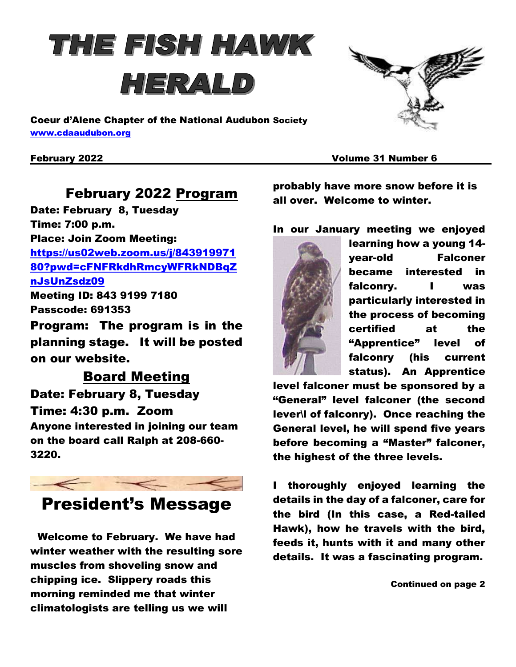# THE FISH HAWK HERALD



Coeur d'Alene Chapter of the National Audubon Society [www.cdaaudubon.org](http://www.cdaaudubon.org/)

February 2022 Volume 31 Number 6

### February 2022 Program

Date: February 8, Tuesday Time: 7:00 p.m. Place: Join Zoom Meeting: [https://us02web.zoom.us/j/843919971](https://us02web.zoom.us/j/84391997180?pwd=cFNFRkdhRmcyWFRkNDBqZnJsUnZsdz09) [80?pwd=cFNFRkdhRmcyWFRkNDBqZ](https://us02web.zoom.us/j/84391997180?pwd=cFNFRkdhRmcyWFRkNDBqZnJsUnZsdz09) [nJsUnZsdz09](https://us02web.zoom.us/j/84391997180?pwd=cFNFRkdhRmcyWFRkNDBqZnJsUnZsdz09) Meeting ID: 843 9199 7180 Passcode: 691353

Program: The program is in the planning stage. It will be posted on our website.

### Board Meeting Date: February 8, Tuesday Time: 4:30 p.m. Zoom Anyone interested in joining our team on the board call Ralph at 208-660- 3220.



# President's Message

Welcome to February. We have had winter weather with the resulting sore muscles from shoveling snow and chipping ice. Slippery roads this morning reminded me that winter climatologists are telling us we will

probably have more snow before it is all over. Welcome to winter.

#### In our January meeting we enjoyed



learning how a young 14 year-old Falconer became interested in falconry. I was particularly interested in the process of becoming certified at the "Apprentice" level of falconry (his current status). An Apprentice

level falconer must be sponsored by a "General" level falconer (the second lever\l of falconry). Once reaching the General level, he will spend five years before becoming a "Master" falconer, the highest of the three levels.

I thoroughly enjoyed learning the details in the day of a falconer, care for the bird (In this case, a Red-tailed Hawk), how he travels with the bird, feeds it, hunts with it and many other details. It was a fascinating program.

Continued on page 2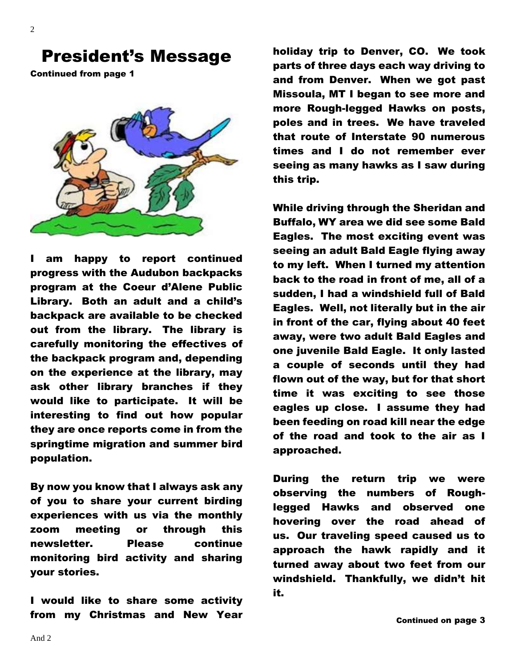2

## President's Message

Continued from page 1



I am happy to report continued progress with the Audubon backpacks program at the Coeur d'Alene Public Library. Both an adult and a child's backpack are available to be checked out from the library. The library is carefully monitoring the effectives of the backpack program and, depending on the experience at the library, may ask other library branches if they would like to participate. It will be interesting to find out how popular they are once reports come in from the springtime migration and summer bird population.

By now you know that I always ask any of you to share your current birding experiences with us via the monthly zoom meeting or through this newsletter. Please continue monitoring bird activity and sharing your stories.

I would like to share some activity from my Christmas and New Year holiday trip to Denver, CO. We took parts of three days each way driving to and from Denver. When we got past Missoula, MT I began to see more and more Rough-legged Hawks on posts, poles and in trees. We have traveled that route of Interstate 90 numerous times and I do not remember ever seeing as many hawks as I saw during this trip.

While driving through the Sheridan and Buffalo, WY area we did see some Bald Eagles. The most exciting event was seeing an adult Bald Eagle flying away to my left. When I turned my attention back to the road in front of me, all of a sudden, I had a windshield full of Bald Eagles. Well, not literally but in the air in front of the car, flying about 40 feet away, were two adult Bald Eagles and one juvenile Bald Eagle. It only lasted a couple of seconds until they had flown out of the way, but for that short time it was exciting to see those eagles up close. I assume they had been feeding on road kill near the edge of the road and took to the air as I approached.

During the return trip we were observing the numbers of Roughlegged Hawks and observed one hovering over the road ahead of us. Our traveling speed caused us to approach the hawk rapidly and it turned away about two feet from our windshield. Thankfully, we didn't hit it.

Continued on page 3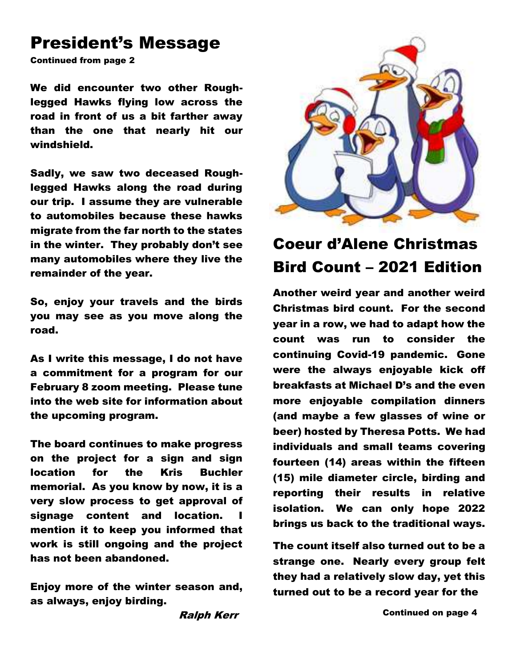# President's Message

Continued from page 2

We did encounter two other Roughlegged Hawks flying low across the road in front of us a bit farther away than the one that nearly hit our windshield.

Sadly, we saw two deceased Roughlegged Hawks along the road during our trip. I assume they are vulnerable to automobiles because these hawks migrate from the far north to the states in the winter. They probably don't see many automobiles where they live the remainder of the year.

So, enjoy your travels and the birds you may see as you move along the road.

As I write this message, I do not have a commitment for a program for our February 8 zoom meeting. Please tune into the web site for information about the upcoming program.

The board continues to make progress on the project for a sign and sign location for the Kris Buchler memorial. As you know by now, it is a very slow process to get approval of signage content and location. mention it to keep you informed that work is still ongoing and the project has not been abandoned.

Enjoy more of the winter season and, as always, enjoy birding.

Ralph Kerr



# Coeur d'Alene Christmas Bird Count – 2021 Edition

Another weird year and another weird Christmas bird count. For the second year in a row, we had to adapt how the count was run to consider the continuing Covid-19 pandemic. Gone were the always enjoyable kick off breakfasts at Michael D's and the even more enjoyable compilation dinners (and maybe a few glasses of wine or beer) hosted by Theresa Potts. We had individuals and small teams covering fourteen (14) areas within the fifteen (15) mile diameter circle, birding and reporting their results in relative isolation. We can only hope 2022 brings us back to the traditional ways.

The count itself also turned out to be a strange one. Nearly every group felt they had a relatively slow day, yet this turned out to be a record year for the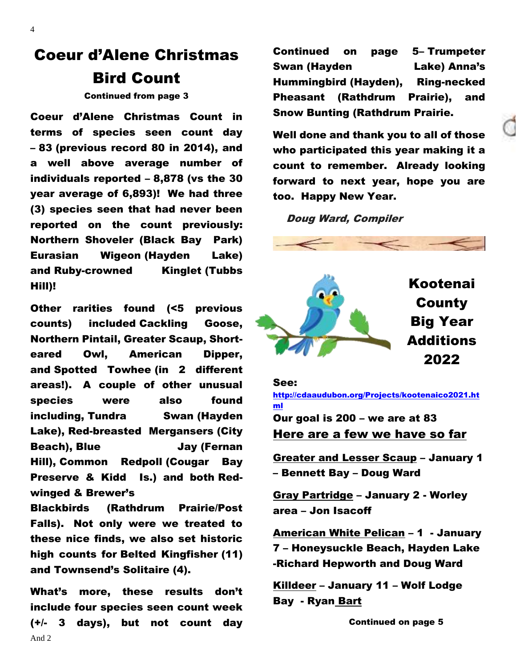# Coeur d'Alene Christmas Bird Count

Continued from page 3

Coeur d'Alene Christmas Count in terms of species seen count day – 83 (previous record 80 in 2014), and a well above average number of individuals reported – 8,878 (vs the 30 year average of 6,893)! We had three (3) species seen that had never been reported on the count previously: Northern Shoveler (Black Bay Park) Eurasian Wigeon (Hayden Lake) and Ruby-crowned Kinglet (Tubbs Hill)!

Other rarities found (<5 previous counts) included Cackling Goose, Northern Pintail, Greater Scaup, Shorteared Owl, American Dipper, and Spotted Towhee (in 2 different areas!). A couple of other unusual species were also found including, Tundra Swan (Hayden Lake), Red-breasted Mergansers (City Beach), Blue **Jay (Fernan** Hill), Common Redpoll (Cougar Bay Preserve & Kidd Is.) and both Redwinged & Brewer's

Blackbirds (Rathdrum Prairie/Post Falls). Not only were we treated to these nice finds, we also set historic high counts for Belted Kingfisher (11) and Townsend's Solitaire (4).

And 2 What's more, these results don't include four species seen count week (+/- 3 days), but not count day

Continued on page 5– Trumpeter Swan (Hayden Lake) Anna's Hummingbird (Hayden), Ring-necked Pheasant (Rathdrum Prairie), and Snow Bunting (Rathdrum Prairie.

Well done and thank you to all of those who participated this year making it a count to remember. Already looking forward to next year, hope you are too. Happy New Year.

Doug Ward, Compiler



#### See:

[http://cdaaudubon.org/Projects/kootenaico2021.ht](http://cdaaudubon.org/Projects/kootenaico2021.html) [ml](http://cdaaudubon.org/Projects/kootenaico2021.html) Our goal is 200 – we are at 83

Here are a few we have so far

Greater and Lesser Scaup – January 1 – Bennett Bay – Doug Ward

Gray Partridge – January 2 - Worley area – Jon Isacoff

American White Pelican – 1 - January 7 – Honeysuckle Beach, Hayden Lake -Richard Hepworth and Doug Ward

Killdeer – January 11 – Wolf Lodge Bay - Ryan Bart

Continued on page 5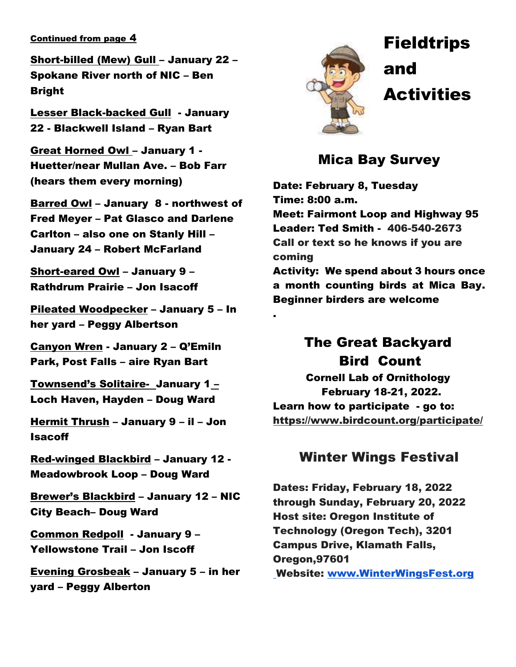#### Continued from page 4

Short-billed (Mew) Gull – January 22 – Spokane River north of NIC – Ben Bright

Lesser Black-backed Gull - January 22 - Blackwell Island – Ryan Bart

Great Horned Owl – January 1 - Huetter/near Mullan Ave. – Bob Farr (hears them every morning)

Barred Owl – January 8 - northwest of Fred Meyer – Pat Glasco and Darlene Carlton – also one on Stanly Hill – January 24 – Robert McFarland

Short-eared Owl – January 9 – Rathdrum Prairie – Jon Isacoff

Pileated Woodpecker – January 5 – In her yard – Peggy Albertson

Canyon Wren - January 2 – Q'Emiln Park, Post Falls – aire Ryan Bart

Townsend's Solitaire- January 1 – Loch Haven, Hayden – Doug Ward

Hermit Thrush – January 9 – il – Jon Isacoff

Red-winged Blackbird – January 12 - Meadowbrook Loop – Doug Ward

Brewer's Blackbird – January 12 – NIC City Beach– Doug Ward

Common Redpoll - January 9 – Yellowstone Trail – Jon Iscoff

Evening Grosbeak – January 5 – in her yard – Peggy Alberton



.

 Fieldtrips and **Activities** 

### Mica Bay Survey

Date: February 8, Tuesday Time: 8:00 a.m. Meet: Fairmont Loop and Highway 95 Leader: Ted Smith - 406-540-2673 Call or text so he knows if you are coming Activity: We spend about 3 hours once a month counting birds at Mica Bay. Beginner birders are welcome

# The Great Backyard Bird Count

Cornell Lab of Ornithology February 18-21, 2022. Learn how to participate - go to: https://www.birdcount.org/participate/

#### Winter Wings Festival

Dates: Friday, February 18, 2022 through Sunday, February 20, 2022 Host site: Oregon Institute of Technology (Oregon Tech), 3201 Campus Drive, Klamath Falls, Oregon,97601 Website: [www.WinterWingsFest.org](http://www.winterwingsfest.org/)